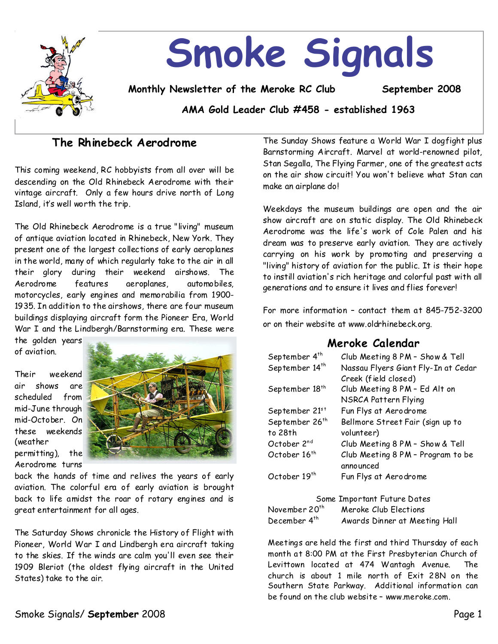

# **Smoke Signals**

**Monthly Newsletter of the Meroke RC Club September 2008**

**AMA Gold Leader Club #458 - established 1963**

# **The Rhinebeck Aerodrome**

This coming weekend,RC hobbyists from all over will be descending on the Old Rhinebeck Aerodrome with their vintage aircraft. Only a few hours drive north of Long Island, it's well worth the trip.

The Old Rhinebeck Aerodrome is a true "living" museum of antique aviation located in Rhinebeck, New York.They present one of the largest collections of early aeroplanes in the world, many of which regularly take to the air in all their glory during their weekend airshows. The Aerodrome features aeroplanes, automobiles, motorcycles, early engines and memorabilia from 1900- 1935. In addition to the airshows, there are four museum buildings displaying aircraft form the Pioneer Era, World War I and the Lindbergh/Barnstorming era. These were

the golden years of aviation.

Their weekend air shows are scheduled from mid-June through mid-October. On these weekends (weather permitting), the Aerodrome turns



back the hands of time and relives the years of early aviation. The colorful era of early aviation is brought back to life amidst the roar of rotary engines and is great entertainment for all ages.

The Saturday Shows chronicle the History of Flight with Pioneer, World War I and Lindbergh era aircraft taking to the skies. If the winds are calm you'll even see their 1909 Bleriot (the oldest flying aircraft in the United States) take to the air.

The Sunday Shows feature a World War I dogfight plus Barnstorming Aircraft. Marvel at world-renowned pilot, Stan Segalla, The Flying Farmer, one of the greatest acts on the air show circuit! You won't believe what Stan can make an airplane do!

Weekdays the museum buildings are open and the air show aircraft are on static display.The Old Rhinebeck Aerodrome was the life's work of Cole Palen and his dream was to preserve early aviation. They are actively carrying on his work by promoting and preserving a "living" history of aviation for the public. It is their hope to instill aviation's rich heritage and colorful past with all generations and to ensure it lives and flies forever!

For more information - contact them at  $845-752-3200$ or on their website at www.oldrhinebeck.org.

# **Meroke Calendar**

| September 4 <sup>th</sup>  | Club Meeting 8 PM - Show & Tell     |
|----------------------------|-------------------------------------|
| September 14 <sup>th</sup> | Nassau Flyers Giant Fly-In at Cedar |
|                            | Creek (field closed)                |
| September 18 <sup>th</sup> | Club Meeting 8 PM - Ed Alt on       |
|                            | NSRCA Pattern Flying                |
| September 21st             | Fun Flys at Aerodrome               |
| September 26 <sup>th</sup> | Bellmore Street Fair (sign up to    |
| to 28th                    | volunteer)                          |
| October 2nd                | Club Meeting 8 PM - Show & Tell     |
| October 16 <sup>th</sup>   | Club Meeting 8 PM - Program to be   |
|                            | announced                           |
| October 19 <sup>th</sup>   | Fun Flys at Aerodrome               |
|                            |                                     |

| Some Important Future Dates |                               |  |  |  |
|-----------------------------|-------------------------------|--|--|--|
| November 20 <sup>th</sup>   | Meroke Club Elections         |  |  |  |
| December 4 <sup>th</sup>    | Awards Dinner at Meeting Hall |  |  |  |

Meetings are held the first and third Thursday of each month at 8:00 PM at the First Presbyterian Church of Levittown located at 474 Wantagh Avenue. The church is about 1 mile north of Exit 28N on the Southern State Parkway. Additional information can be found on the club website–www.meroke.com.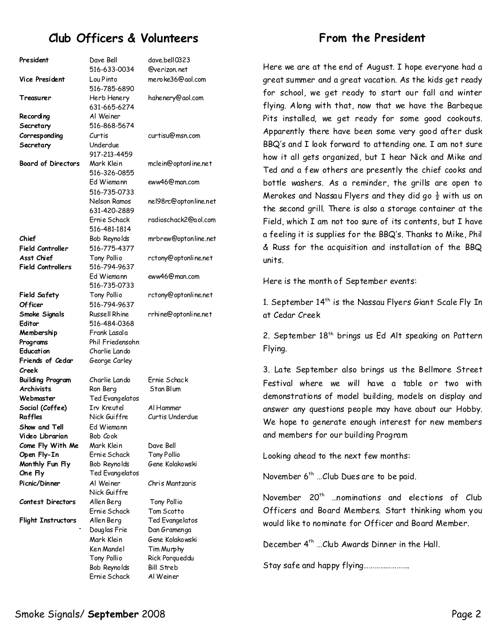# **Club Officers & Volunteers**

| President                 | Dave Bell            | dave.bell0323         |
|---------------------------|----------------------|-----------------------|
|                           | 516-633-0034         | @verizon.net          |
| <b>Vice President</b>     | Lou Pinto            | meroke36@gol.com      |
|                           | 516-785-6890         |                       |
| Treasurer                 | Herb Henery          | hahenery@aol.com      |
|                           | 631-665-6274         |                       |
|                           |                      |                       |
| Recording                 | Al Weiner            |                       |
| Secretary                 | 516-868-5674         |                       |
| Corresponding             | Curtis               | curtisu@msn.com       |
| Secretary                 | Underdue             |                       |
|                           | 917-213-4459         |                       |
| <b>Board of Directors</b> | Mark Klein           | mclein@optonline.net  |
|                           | 516-326-0855         |                       |
|                           | Ed Wiemann           | eww46@man.com         |
|                           |                      |                       |
|                           | 516-735-0733         |                       |
|                           | Nelson Ramos         | nel98rc@optonline.net |
|                           | 631-420-2889         |                       |
|                           | Ernie Schack         | radioschack2@aol.com  |
|                           | 516-481-1814         |                       |
| Chief                     | Bob Reynolds         | mrbrew@optonline.net  |
| <b>Field Controller</b>   | 516-775-4377         |                       |
| Asst Chief                |                      |                       |
|                           | Tony Pollio          | rctony@optonline.net  |
| <b>Field Controllers</b>  | 516-794-9637         |                       |
|                           | Ed Wiemann           | eww46@man.com         |
|                           | 516-735-0733         |                       |
| <b>Field Safety</b>       | Tony Pollio          | rctony@optonline.net  |
| Of ficer                  | 516-794-9637         |                       |
| Smoke Signals             | <b>Russell Rhine</b> | rrhine@optonline.net  |
| Editor                    | 516-484-0368         |                       |
| Membership                | Frank Lasala         |                       |
| Programs                  | Phil Friedensohn     |                       |
| Education                 | Charlie Lando        |                       |
|                           |                      |                       |
| Friends of Cedar          | George Carley        |                       |
| Creek                     |                      |                       |
| Building Program          | Charlie Lando        | Frnie Schack          |
| <b>Archivists</b>         | Ron Berg             | Stan Blum             |
| Webmaster                 | Ted Evangelatos      |                       |
| Social (Coffee)           | Irv Kreutel          | Al Hammer             |
| Raffles                   | Nick Guiffre         | Curtis Underdue       |
| Show and Tell             | Ed Wiemann           |                       |
| Video Librarian           | Bob Cook             |                       |
|                           |                      |                       |
| Come Fly With Me          | Mark Klein           | Dave Bell             |
| Open Fly-In               | Ernie Schack         | <b>Tony Pollio</b>    |
| Monthly Fun Fly           | Bob Reynolds         | Gene Kolakowski       |
| One Fly                   | Ted Evangelatos      |                       |
| Picnic/Dinner             | Al Weiner            | Chris Mantzaris       |
|                           | Nick Guiffre         |                       |
| Contest Directors         | Allen Berg           | Tony Pollio           |
|                           | Ernie Schack         | Tom Scotto            |
|                           | Allen Berg           | Ted Evangelatos       |
| <b>Flight Instructors</b> |                      |                       |
|                           | Douglas Frie         | Dan Gramenga          |
|                           | Mark Klein           | Gene Kolakowski       |
|                           | Ken Mandel           | Tim Murphy            |
|                           | Tony Pollio          | Rick Porqueddu        |
|                           | Bob Reynolds         | <b>Bill Streb</b>     |
|                           | Ernie Schack         | Al Weiner             |

# **From the President**

Here we are at the end of August. I hope everyone had a great summer and a great vacation. As the kids get ready for school, we get ready to start our fall and winter flying. Along with that, now that we have the Barbeque Pits installed, we get ready for some good cookouts. Apparently there have been some very good after dusk BBQ's and I look forward to attending one. I am not sure how it all gets organized, but I hear Nick and Mike and Ted and a few others are presently the chief cooks and bottle washers. As a reminder, the grills are open to Merokes and Nassau Flyers and they did go  $\frac{1}{2}$  with us on the second grill. There is also a storage container at the Field, which I am not too sure of its contents, but I have a feeling it is supplies for the BBQ's. Thanks to Mike,Phil & Russ for the acquisition and installation of the BBQ units.

Here is the month of September events:

1. September 14<sup>th</sup> is the Nassau Flyers Giant Scale Fly In at Cedar Creek

2. September  $18<sup>th</sup>$  brings us Ed Alt speaking on Pattern Flying.

3. Late September also brings us the Bellmore Street Festival where we will have a table or two with demonstrations of model building, models on display and answer any questions people may have about our Hobby. We hope to generate enough interest for new members and members for our building Program

Looking ahead to the next few months:

November  $6<sup>th</sup>$  ...Club Dues are to be paid.

November 20<sup>th</sup> ...nominations and elections of Club Officers and Board Members. Start thinking whom you would like to nominate for Officer and Board Member.

December 4<sup>th</sup> ...Club Awards Dinner in the Hall.

Stay safe and happy flying…………………….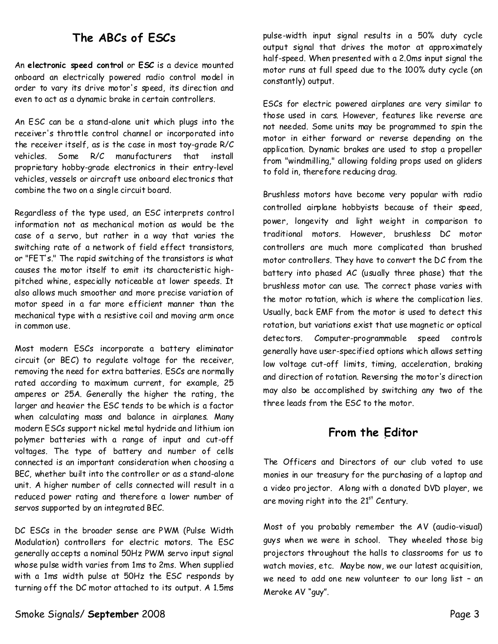# **The ABCs of ESCs**

An**electronic speed control**or**ESC**is a device mounted onboard an electrically powered radio control model in order to vary its drive motor's speed, its direction and even to act as a dynamic brake in certain controllers.

An ESC can be a stand-alone unit which plugs into the receiver's throttle control channel or incorporated into the receiver itself, as is the case in most toy-grade R/C vehicles. Some R/C manufacturers that install proprietary hobby-grade electronics in their entry-level vehicles, vessels or aircraft use onboard electronics that combine the two on a single circuit board.

Regardless of the type used, an ESC interprets control information not as mechanical motion as would be the case of a servo, but rather in a way that varies the switching rate of a network of field effect transistors, or "FET's." The rapid switching of the transistors is what causes the motor itself to emit its characteristic high pitched whine, especially noticeable at lower speeds. It also allows much smoother and more precise variation of motor speed in a far more efficient manner than the mechanical type with a resistive coil and moving arm once in common use.

Most modern ESCs incorporate a battery eliminator  $circ$ ircuit (or BEC) to regulate voltage for the receiver, removing the need for extra batteries. ESCs are normally rated according to maximum current, for example, 25 amperes or 25A. Generally the higher the rating, the larger and heavier the ESC tends to be which is a factor when calculating mass and balance in airplanes. Many modern ESCs support nickel metal hydride and lithium ion polymer batteries with a range of input and cut-off voltages. The type of battery and number of cells connected is an important consideration when choosing a BEC, whether built into the controller or as a stand-alone unit. A higher number of cells connected will result in a reduced power rating and therefore a lower number of servos supported by an integrated BEC.

DC ESCs in the broader sense are PWM (Pulse Width Modulation) controllers for electric motors. The ESC generally accepts a nominal 50Hz PWM servo input signal whose pulse width varies from 1ms to 2ms. When supplied with a 1ms width pulse at 50Hz the ESC responds by turning off the DC motor attached to its output. A 1.5ms

pulse-width input signal results in a 50% duty cycle output signal that drives the motor at approximately half-speed. When presented with a 2.0ms input signal the motor runs at full speed due to the 100% duty cycle (on constantly) output.

ESCs for electric powered airplanes are very similar to those used in cars. However, features like reverse are not needed. Some units may be programmed to spin the motor in either forward or reverse depending on the application. Dynamic brakes are used to stop a propeller from "windmilling," allowing folding props used on gliders to fold in, therefore reducing drag.

Brushless motors have become very popular with radio controlled airplane hobbyists because of their speed, power, longevity and light weight in comparison to traditional motors. However, brushless DC motor controllers are much more complicated than brushed motor controllers. They have to convert the DC from the battery into phased AC (usually three phase) that the brushless motor can use. The correct phase varies with the motor rotation, which is where the complication lies. Usually, back EMF from the motor is used to detect this rotation, but variations exist that use magnetic or optical detectors. Computer-programmable speed controls generally have user-specified options which allows setting low voltage cut-off limits, timing, acceleration, braking and direction of rotation. Reversing the motor's direction may also be accomplished by switching any two of the three leads from the ESC to the motor.

## **From the Editor**

The Officers and Directors of our club voted to use monies in our treasury for the purchasing of a laptop and a video projector. Along with a donated DVD player, we are moving right into the  $21<sup>st</sup>$  Century.

Most of you probably remember the AV(audio-visual) guys when wewere in school. They wheeled those big projectors throughout the halls to classrooms for us to watch movies, etc. Maybe now, we our latest acquisition, we need to add one new volunteer to our long list–an Meroke AV"guy".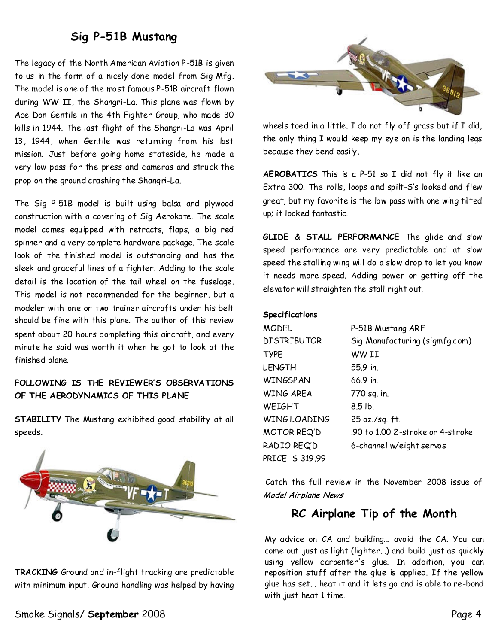# **Sig P-51B Mustang**

The legacy of the North American Aviation P-51B is given to us in the form of a nicely done model from Sig Mfg. The model is one of the most famous P-51B aircraft flown during WW II, the Shangri-La. This plane was flown by Ace Don Gentile in the 4th Fighter Group, who made 30 kills in 1944. The last flight of the Shangri-La was April 13, 1944, when Gentile was returning from his last mission. Just before going home stateside, he made a very low pass for the press and cameras and struck the prop on the ground crashing the Shangri-La.

The Sig P-51B model is built using balsa and plywood construction with a covering of Sig Aerokote. The scale model comes equipped with retracts, flaps, a big red spinner and a very complete hardware package. The scale look of the finished model is outstanding and has the sleek and graceful lines of a fighter. Adding to the scale detail is the location of the tail wheel on the fuselage. This model is not recommended for the beginner, but a modeler with one or two trainer aircrafts under his belt should be fine with this plane. The author of this review spent about 20 hours completing this aircraft, and every minute he said was worth it when he got to look at the finished plane.

## **FOLLOWING IS THE REVIEWER'S OBSERVATIONS OF THE AERODYNAMICS OF THIS PLANE**

**STABILITY**The Mustang exhibited good stability at all speeds.



TRACKING Ground and in-flight tracking are predictable with minimum input. Ground handling was helped by having



wheels toed in a little. I do not fly off grass but if I did, the only thing I would keep my eye on is the landing legs because they bend easily.

**AEROBATICS**This is a P-51 so I did not fly it like an Extra 300. The rolls, loops and spilt-S's looked and flew great, but my favorite is the low pass with one wing tilted up; it looked fantastic.

**GLIDE & STALL PERFORMANCE** The glide and slow speed performance are very predictable and at slow speed the stalling wing will do a slow drop to let you know it needs more speed. Adding power or getting off the elevator will straighten the stall right out.

#### **Specifications**

| <b>MODEL</b>       | P-51B Mustang ARF                |
|--------------------|----------------------------------|
| <b>DISTRIBUTOR</b> | Sig Manufacturing (sigmfg.com)   |
| <b>TYPE</b>        | WW II                            |
| <b>LENGTH</b>      | 55.9 in.                         |
| <b>WINGSPAN</b>    | $66.9$ in                        |
| <b>WING AREA</b>   | 770 sq. in.                      |
| WEIGHT             | $8.5$ lb.                        |
| WINGLOADING        | 25 oz./sq. ft.                   |
| MOTOR REQ'D        | .90 to 1.00 2-stroke or 4-stroke |
| RADIO REQ'D        | 6-channel w/eight servos         |
| PRICE \$319.99     |                                  |

Catch the full review in the November 2008 issue of Model Airplane News

## **RC Airplane Tip of the Month**

My advice on CA and building... avoid the CA.You can come out just as light (lighter...) and build just as quickly using yellow carpenter's glue. In addition, you can reposition stuff after the glue is applied. If the yellow glue has set... heat it and it lets go andis able to re-bond with just heat 1 time.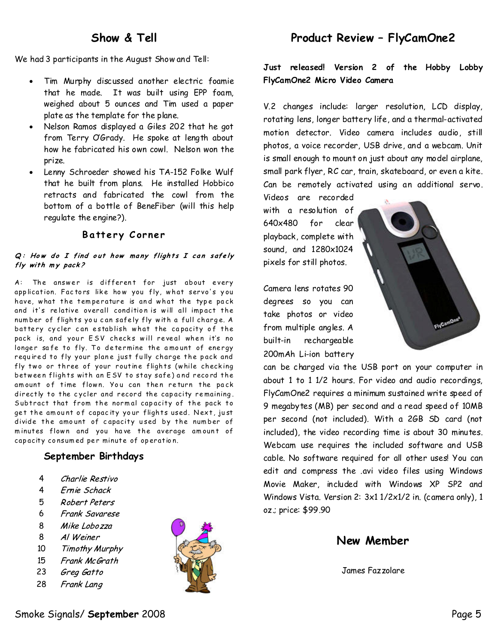## **Show & Tell**

We had 3 participants in the August Show and Tell:

- · Tim Murphy discussed another electric foamie that he made. It was built using EPP foam, weighed about 5 ounces and Tim used a paper plate as the template for the plane.
- Nelson Ramos displayed a Giles 202 that he got from Terry OGrady. He spoke at length about how he fabricated his own cowl. Nelson won the prize.
- Lenny Schroeder showed his TA-152 Folke Wulf that he built from plans. He installed Hobbico retracts and fabricated the cowl from the bottom of a bottle of BeneFiber (will this help regulate the engine?).

## **B a tt e r y C or ne r**

#### $Q:$  How do I find out how many flights I can safely fly with my pack?

A: The answer is different for just about every app lication. Factors like how you fly, what servo's you have, what the temperature is and what the type pack and it's relative overall condition is will all impact the num ber of flights you can safely fly with a full charge. A battery cycler can establish what the capacity of the pack is, and your ESV checks will reveal when it's no longer safe to fly. To determine the amount of energy required to fly your plane just fully charge the pack and fly two or three of your routine flights (while checking between flights with an ESV to stay safe) and record the amount of time flown. You can then return the pack directly to the cycler and record the capacity remaining. Subtract that from the normal capacity of the pack to get the amount of capacity your flights used. Next, just divide the amount of capacity used by the number of minutes flown and you have the average amount of capacity consumed per minute of operation.

#### **September Birthdays**

- Charlie Restivo 4
- 4 Ernie Schack
- 5 Robert Peters
- Frank Savarese 6
- 8 Mike Lobozza
- 8 Al Weiner
- 10 **Timothy Murphy**
- 15 Frank McGrath
- 23 Greg Gatto
- 28 Frank Lang



# **Product Review–FlyCamOne2**

**Just released! Version 2 of the Hobby Lobby FlyCamOne2 Micro Video Camera**

V.2 changes include: larger resolution, LCD display, rotating lens, longer battery life, and a thermal-activated motion detector. Video camera includes audio, still photos, a voice recorder, USB drive, and a webcam. Unit is small enough to mount on just about any model airplane, small park flyer, RC car, train, skateboard, or even a kite. Can be remotely activated using an additional servo.

Videos are recorded with a resolution of 640x480 for clear playback, complete with sound, and 1280x1024 pixels for still photos.

Camera lens rotates 90 degrees so you can take photos or video from multiple angles. A built-in rechargeable 200mAh Li-ion battery



can be charged via the USB port on your computer in about 1 to 1 1/2 hours. For video and audio recordings, FlyCamOne2 requires a minimum sustained write speed of 9 megabytes (MB) per second and a read speed of 10MB per second (not included). With a 2GB SD card (not included), the video recording time is about 30 minutes. Webcam use requires the included software and USB cable. No software required for all other uses! You can edit and compress the .avi video files using Windows Movie Maker, included with Windows XP SP2 and Windows Vista. Version 2: 3x1 1/2x1/2 in. (camera only), 1 oz.; price: \$99.90

## **New Member**

James Fazzolare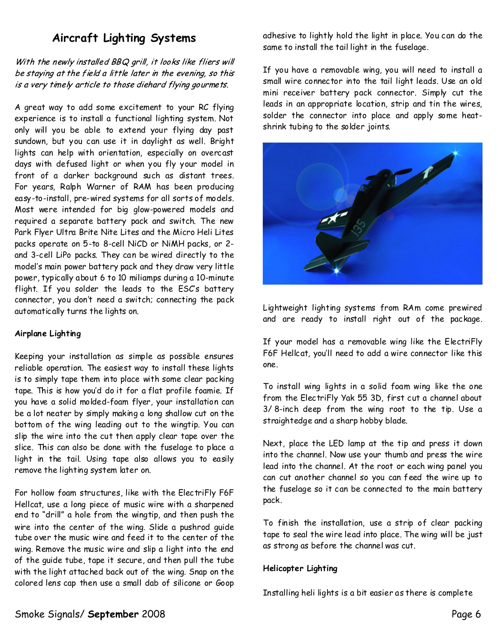# **Aircraft Lighting Systems**

With the newly installed BBQ grill, it looks like fliers will be staying at the field a little later in the evening, so this is a very timely article to those diehard flying gourmets.

A great way to add some excitement to your RC flying experience is to install a functional lighting system. Not only will you be able to extend your flying day past sundown, but you can use it in daylight as well. Bright lights can help with orientation, especially on overcast days with defused light or when you fly your model in front of a darker background such as distant trees. For years, Ralph Warner of RAM has been producing easy-to-install, pre-wired systems for all sorts of models. Most were intended for big glow-powered models and required a separate battery pack and switch. The new Park Flyer Ultra Brite Nite Lites and the Micro Heli Lites packs operate on 5-to 8-cell NiCD or NiMH packs, or 2 and 3-cell LiPo packs. They can be wired directly to the model's main power battery pack and they draw very little power, typically about 6 to 10 miliamps during a 10-minute flight. If you solder the leads to the ESC's battery connector, you don't need a switch; connecting the pack automatically turns the lights on.

## **Airplane Lighting**

Keeping your installation as simple as possible ensures reliable operation. The easiest way to install these lights is to simply tape them into place with some clear packing tape. This is how you'd do it for a flat profile foamie. If you have a solid molded-foam flyer, your installation can be a lot neater by simply making a long shallow cut on the bottom of the wing leading out to the wingtip. You can slip the wire into the cut then apply clear tape over the slice. This can also be done with the fuselage to place a light in the tail. Using tape also allows you to easily remove the lighting system later on.

For hollow foam structures, like with the ElectriFly F6F Hellcat, use a long piece of music wire with a sharpened end to "drill" a hole from the wingtip, and then push the wire into the center of the wing. Slide a pushrod guide tube over the music wire and feed it to the center of the wing. Remove the music wire and slip a light into the end of the guide tube, tape it secure, and then pull the tube with the light attached back out of the wing. Snap on the colored lens cap then use a small dab of silicone or Goop

adhesive to lightly hold the light in place. You can do the same to install the tail light in the fuselage.

If you have a removable wing, you will need to install a small wire connector into the tail light leads. Use an old mini receiver battery pack connector. Simply cut the leads in an appropriate location, strip and tin the wires, solder the connector into place and apply some heat shrink tubing to the solder joints.



Lightweight lighting systems from RAm come prewired and are ready to install right out of the package.

If your model has a removable wing like the ElectriFly F6F Hellcat, you'll need to add a wire connector like this one.

To install wing lights in a solid foam wing like the one from the ElectriFly Yak 55 3D, first cut a channel about 3/ 8-inch deep from the wing root to the tip. Use a straightedge and a sharp hobby blade.

Next, place the LED lamp at the tip and press it down into the channel. Now use your thumb and press the wire lead into the channel. At the root or each wing panel you can cut another channel so you can feed the wire up to the fuselage so it can be connected to the main battery pack.

To finish the installation, use a strip of clear packing tape to seal the wire lead into place. The wing will be just as strong as before the channel was cut.

#### **Helicopter Lighting**

Installing heli lights is a bit easier as there is complete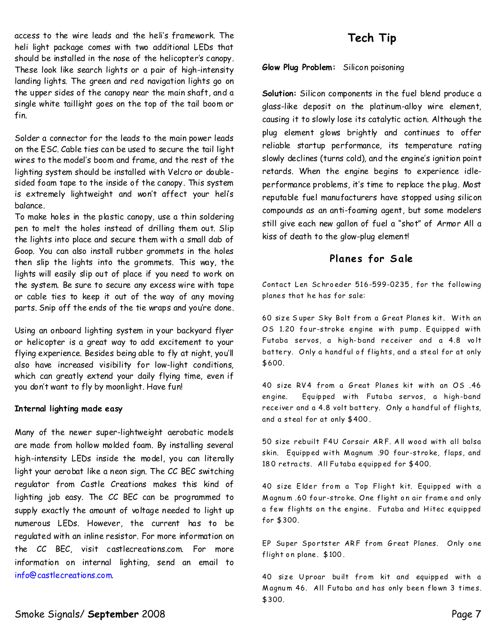access to the wire leads and the heli's framework. The heli light package comes with two additional LEDs that should be installed in the nose of the helicopter's canopy. These look like search lights or a pair of high-intensity landing lights. The green and red navigation lights go on the upper sides of the canopy near the main shaft, and a single white taillight goes on the top of the tail boom or fin.

Solder a connector for the leads to the main power leads on the ESC. Cable ties can be used to secure the tail light wires to the model's boom and frame, and the rest of the lighting system should be installed with Velcro or double sided foam tape to the inside of the canopy. This system is extremely lightweight and won't affect your heli's balance.

To make holes in the plastic canopy, use a thin soldering pen to melt the holes instead of drilling them out. Slip the lights into place and secure them with a small dab of Goop. You can also install rubber grommets in the holes then slip the lights into the grommets. This way, the lights will easily slip out of place if you need to work on the system. Be sure to secure any excess wire with tape or cable ties to keep it out of the way of any moving parts. Snip off the ends of the tie wraps and you're done.

Using an onboard lighting system in your backyard flyer or helicopter is a great way to add excitement to your flying experience. Besides being able to fly at night, you'll also have increased visibility for low-light conditions, which can greatly extend your daily flying time, even if you don't want to fly by moonlight. Have fun!

#### **Internal lighting made easy**

Many of the newer super-lightweight aerobatic models are made from hollow molded foam. By installing several high-intensity LEDs inside the model, you can literally light your aerobat like a neon sign. The CC BEC switching regulator from Castle Creations makes this kind of lighting job easy. The CC BEC can be programmed to supply exactly the amount of voltage needed to light up numerous LEDs. However, the current has to be regulated with an inline resistor. For more information on the CC BEC, visit castlecreations.com. For more information on internal lighting, send an email to info@castlecreations.com.

# **Tech Tip**

Glow Plug Problem: Silicon poisoning

Solution: Silicon components in the fuel blend produce a glass-like deposit on the platinum-alloy wire element, causing it to slowly lose its catalytic action. Although the plug element glows brightly and continues to offer reliable startup performance, its temperature rating slowly declines (turns cold), and the engine's ignition point retards. When the engine begins to experience idle performance problems, it's time to replace the plug. Most reputable fuel manufacturers have stopped using silicon compounds as an anti-foaming agent, but some modelers still give each new gallon of fuel a "shot" of Armor All a kiss of death to the glow-plug element!

## **Pla nes for S ale**

Contact Len Schroeder 516-599-0235, for the following planes that he has for sale:

60 size Super Sky Bolt from a Great Planes kit. With an OS 1.20 four-stroke engine with pump. Equipped with Futaba servos, a high-band receiver and a 4.8 volt battery. Only a handful of flights, and a steal for at only \$600.

40 size RV4 from a Great Planes kit with an OS .46 engine. Equipped with Futaba servos, a high-band receiver and a 4.8 volt battery. Only a handful of flights, and a steal for at only \$400.

50 size rebuilt F4U Corsair ARF. All wood with all balsa skin. Equipp ed with M agnum .90 four-stro ke, flaps,and 180 retracts. All Futaba equipped for \$400.

40 size Elder from a Top Flight kit. Equipped with a Magnum .60 four-stroke. One flight on air frame and only a few flights on the engine. Futaba and Hitec equipped for \$300.

EP Super Sportster ARF from Great Planes. Only one flight on plane. \$100.

40 size Uproar built from kit and equipped with a Magnum 46. All Futaba and has only been flown 3 times. \$300.